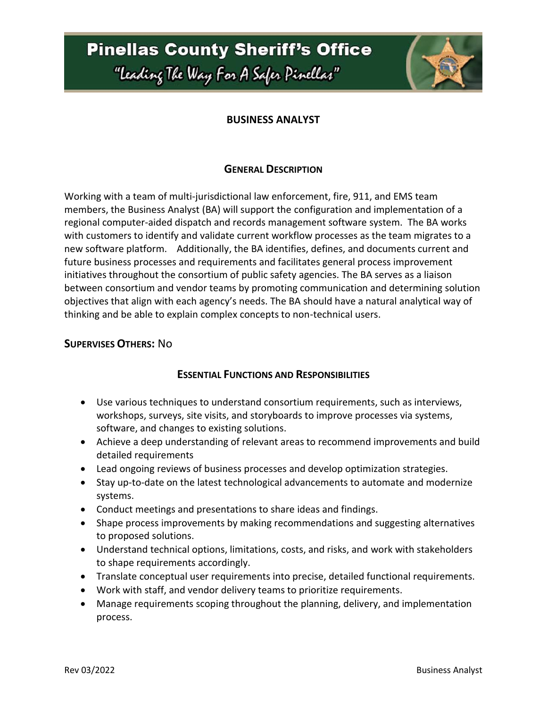**Pinellas County Sheriff's Office** "leading The Way For A Safer Pinellar"



### **BUSINESS ANALYST**

### **GENERAL DESCRIPTION**

Working with a team of multi-jurisdictional law enforcement, fire, 911, and EMS team members, the Business Analyst (BA) will support the configuration and implementation of a regional computer-aided dispatch and records management software system. The BA works with customers to identify and validate current workflow processes as the team migrates to a new software platform. Additionally, the BA identifies, defines, and documents current and future business processes and requirements and facilitates general process improvement initiatives throughout the consortium of public safety agencies. The BA serves as a liaison between consortium and vendor teams by promoting communication and determining solution objectives that align with each agency's needs. The BA should have a natural analytical way of thinking and be able to explain complex concepts to non-technical users.

### **SUPERVISES OTHERS:** No

#### **ESSENTIAL FUNCTIONS AND RESPONSIBILITIES**

- Use various techniques to understand consortium requirements, such as interviews, workshops, surveys, site visits, and storyboards to improve processes via systems, software, and changes to existing solutions.
- Achieve a deep understanding of relevant areas to recommend improvements and build detailed requirements
- Lead ongoing reviews of business processes and develop optimization strategies.
- Stay up-to-date on the latest technological advancements to automate and modernize systems.
- Conduct meetings and presentations to share ideas and findings.
- Shape process improvements by making recommendations and suggesting alternatives to proposed solutions.
- Understand technical options, limitations, costs, and risks, and work with stakeholders to shape requirements accordingly.
- Translate conceptual user requirements into precise, detailed functional requirements.
- Work with staff, and vendor delivery teams to prioritize requirements.
- Manage requirements scoping throughout the planning, delivery, and implementation process.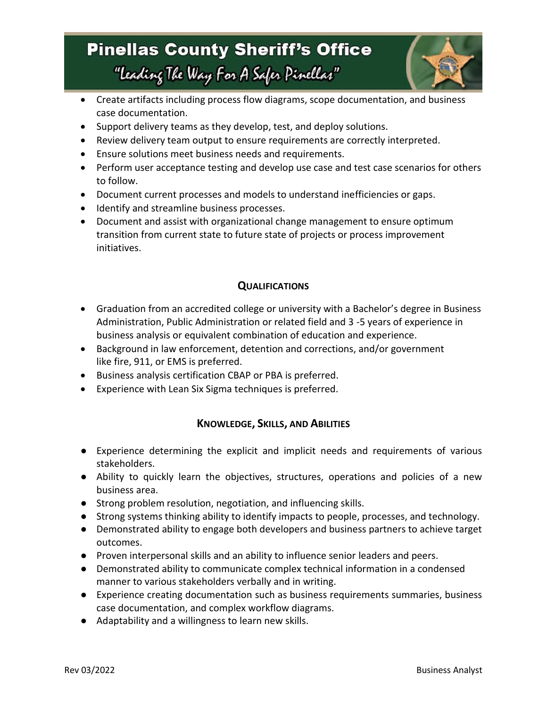# **Pinellas County Sheriff's Office**

"leading The Way For A Safer Pinellar"



- Create artifacts including process flow diagrams, scope documentation, and business case documentation.
- Support delivery teams as they develop, test, and deploy solutions.
- Review delivery team output to ensure requirements are correctly interpreted.
- Ensure solutions meet business needs and requirements.
- Perform user acceptance testing and develop use case and test case scenarios for others to follow.
- Document current processes and models to understand inefficiencies or gaps.
- Identify and streamline business processes.
- Document and assist with organizational change management to ensure optimum transition from current state to future state of projects or process improvement initiatives.

### **QUALIFICATIONS**

- Graduation from an accredited college or university with a Bachelor's degree in Business Administration, Public Administration or related field and 3 -5 years of experience in business analysis or equivalent combination of education and experience.
- Background in law enforcement, detention and corrections, and/or government like fire, 911, or EMS is preferred.
- Business analysis certification CBAP or PBA is preferred.
- Experience with Lean Six Sigma techniques is preferred.

### **KNOWLEDGE, SKILLS, AND ABILITIES**

- Experience determining the explicit and implicit needs and requirements of various stakeholders.
- Ability to quickly learn the objectives, structures, operations and policies of a new business area.
- Strong problem resolution, negotiation, and influencing skills.
- Strong systems thinking ability to identify impacts to people, processes, and technology.
- Demonstrated ability to engage both developers and business partners to achieve target outcomes.
- Proven interpersonal skills and an ability to influence senior leaders and peers.
- Demonstrated ability to communicate complex technical information in a condensed manner to various stakeholders verbally and in writing.
- Experience creating documentation such as business requirements summaries, business case documentation, and complex workflow diagrams.
- Adaptability and a willingness to learn new skills.